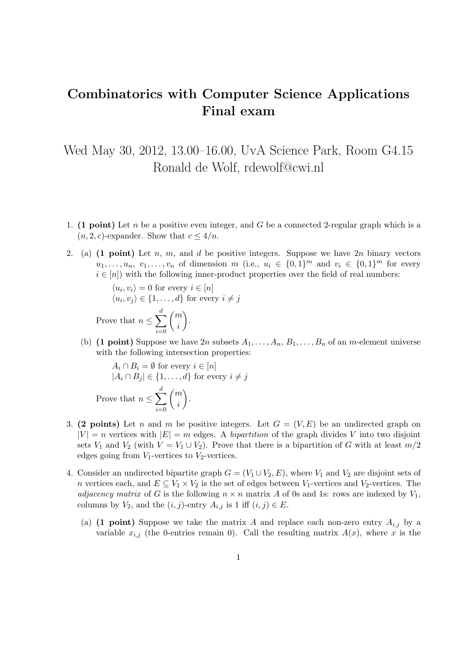## Combinatorics with Computer Science Applications Final exam

Wed May 30, 2012, 13.00–16.00, UvA Science Park, Room G4.15 Ronald de Wolf, rdewolf@cwi.nl

- 1. (1 point) Let n be a positive even integer, and G be a connected 2-regular graph which is a  $(n, 2, c)$ -expander. Show that  $c \leq 4/n$ .
- 2. (a)  $(1 point)$  Let n, m, and d be positive integers. Suppose we have  $2n$  binary vectors  $u_1, \ldots, u_n, v_1, \ldots, v_n$  of dimension m (i.e.,  $u_i \in \{0,1\}^m$  and  $v_i \in \{0,1\}^m$  for every  $i \in [n]$ ) with the following inner-product properties over the field of real numbers:

 $\langle u_i, v_i \rangle = 0$  for every  $i \in [n]$  $\langle u_i, v_j \rangle \in \{1, \ldots, d\}$  for every  $i \neq j$ Prove that  $n \leq \sum$ d  $i=0$  $\sqrt{m}$ i .

(b) (1 point) Suppose we have  $2n$  subsets  $A_1, \ldots, A_n, B_1, \ldots, B_n$  of an *m*-element universe with the following intersection properties:

$$
A_i \cap B_i = \emptyset \text{ for every } i \in [n]
$$
  

$$
|A_i \cap B_j| \in \{1, ..., d\} \text{ for every } i \neq j
$$
  
Prove that 
$$
n \le \sum_{i=0}^d {m \choose i}.
$$

- 3. (2 points) Let n and m be positive integers. Let  $G = (V, E)$  be an undirected graph on  $|V| = n$  vertices with  $|E| = m$  edges. A *bipartition* of the graph divides V into two disjoint sets  $V_1$  and  $V_2$  (with  $V = V_1 \cup V_2$ ). Prove that there is a bipartition of G with at least  $m/2$ edges going from  $V_1$ -vertices to  $V_2$ -vertices.
- 4. Consider an undirected bipartite graph  $G = (V_1 \cup V_2, E)$ , where  $V_1$  and  $V_2$  are disjoint sets of n vertices each, and  $E \subseteq V_1 \times V_2$  is the set of edges between  $V_1$ -vertices and  $V_2$ -vertices. The adjacency matrix of G is the following  $n \times n$  matrix A of 0s and 1s: rows are indexed by  $V_1$ , columns by  $V_2$ , and the  $(i, j)$ -entry  $A_{i,j}$  is 1 iff  $(i, j) \in E$ .
	- (a) (1 point) Suppose we take the matrix A and replace each non-zero entry  $A_{i,j}$  by a variable  $x_{i,j}$  (the 0-entries remain 0). Call the resulting matrix  $A(x)$ , where x is the